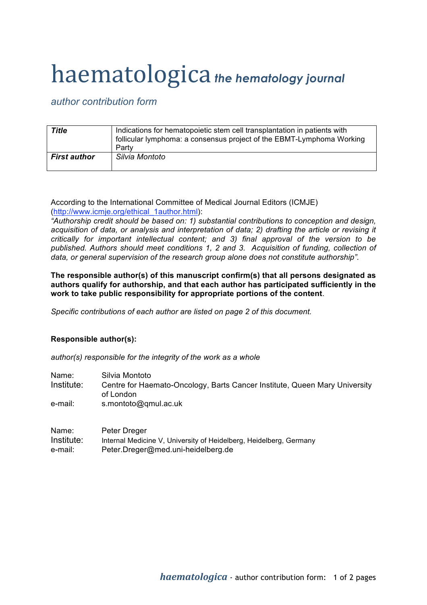## haematologica *the hematology journal*

*author contribution form*

| Title               | Indications for hematopoietic stem cell transplantation in patients with<br>follicular lymphoma: a consensus project of the EBMT-Lymphoma Working<br>Party |
|---------------------|------------------------------------------------------------------------------------------------------------------------------------------------------------|
| <b>First author</b> | Silvia Montoto                                                                                                                                             |

According to the International Committee of Medical Journal Editors (ICMJE) (http://www.icmje.org/ethical\_1author.html):

*"Authorship credit should be based on: 1) substantial contributions to conception and design, acquisition of data, or analysis and interpretation of data; 2) drafting the article or revising it critically for important intellectual content; and 3) final approval of the version to be published. Authors should meet conditions 1, 2 and 3. Acquisition of funding, collection of data, or general supervision of the research group alone does not constitute authorship".*

**The responsible author(s) of this manuscript confirm(s) that all persons designated as authors qualify for authorship, and that each author has participated sufficiently in the work to take public responsibility for appropriate portions of the content**.

*Specific contributions of each author are listed on page 2 of this document.*

## **Responsible author(s):**

*author(s) responsible for the integrity of the work as a whole*

| Name:      | Silvia Montoto                                                                          |
|------------|-----------------------------------------------------------------------------------------|
| Institute: | Centre for Haemato-Oncology, Barts Cancer Institute, Queen Mary University<br>of London |
| e-mail:    | s.montoto@gmul.ac.uk                                                                    |

| Name:      | Peter Dreger                                                       |
|------------|--------------------------------------------------------------------|
| Institute: | Internal Medicine V, University of Heidelberg, Heidelberg, Germany |
| e-mail:    | Peter.Dreger@med.uni-heidelberg.de                                 |